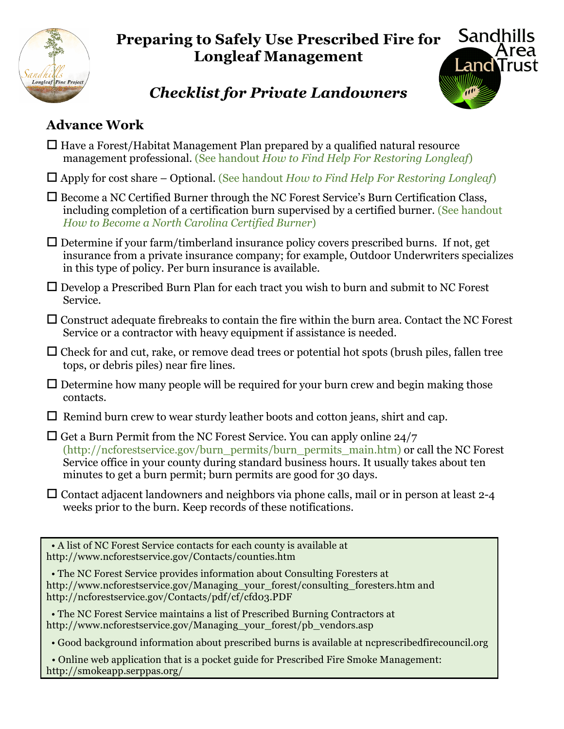

## **Preparing to Safely Use Prescribed Fire for Longleaf Management**



## *Checklist for Private Landowners*

## **Advance Work**

| $\Box$ Have a Forest/Habitat Management Plan prepared by a qualified natural resource<br>management professional. (See handout How to Find Help For Restoring Longleaf)                                                                                                                                                                 |  |  |
|-----------------------------------------------------------------------------------------------------------------------------------------------------------------------------------------------------------------------------------------------------------------------------------------------------------------------------------------|--|--|
| $\Box$ Apply for cost share – Optional. (See handout How to Find Help For Restoring Longleaf)                                                                                                                                                                                                                                           |  |  |
| $\Box$ Become a NC Certified Burner through the NC Forest Service's Burn Certification Class,<br>including completion of a certification burn supervised by a certified burner. (See handout<br>How to Become a North Carolina Certified Burner)                                                                                        |  |  |
| $\Box$ Determine if your farm/timberland insurance policy covers prescribed burns. If not, get<br>insurance from a private insurance company; for example, Outdoor Underwriters specializes<br>in this type of policy. Per burn insurance is available.                                                                                 |  |  |
| $\Box$ Develop a Prescribed Burn Plan for each tract you wish to burn and submit to NC Forest<br>Service.                                                                                                                                                                                                                               |  |  |
| $\Box$ Construct adequate firebreaks to contain the fire within the burn area. Contact the NC Forest<br>Service or a contractor with heavy equipment if assistance is needed.                                                                                                                                                           |  |  |
| $\Box$ Check for and cut, rake, or remove dead trees or potential hot spots (brush piles, fallen tree<br>tops, or debris piles) near fire lines.                                                                                                                                                                                        |  |  |
| $\Box$ Determine how many people will be required for your burn crew and begin making those<br>contacts.                                                                                                                                                                                                                                |  |  |
| $\Box$ Remind burn crew to wear sturdy leather boots and cotton jeans, shirt and cap.                                                                                                                                                                                                                                                   |  |  |
| $\Box$ Get a Burn Permit from the NC Forest Service. You can apply online 24/7<br>(http://ncforestservice.gov/burn permits/burn permits main.htm) or call the NC Forest<br>Service office in your county during standard business hours. It usually takes about ten<br>minutes to get a burn permit; burn permits are good for 30 days. |  |  |
| $\Box$ Contact adjacent landowners and neighbors via phone calls, mail or in person at least 2-4<br>weeks prior to the burn. Keep records of these notifications.                                                                                                                                                                       |  |  |
|                                                                                                                                                                                                                                                                                                                                         |  |  |
| • A list of NC Forest Service contacts for each county is available at<br>http://www.ncforestservice.gov/Contacts/counties.htm                                                                                                                                                                                                          |  |  |
| • The NC Forest Service provides information about Consulting Foresters at<br>http://www.ncforestservice.gov/Managing_your_forest/consulting_foresters.htm and                                                                                                                                                                          |  |  |

http://ncforestservice.gov/Contacts/pdf/cf/cfd03.PDF

 • The NC Forest Service maintains a list of Prescribed Burning Contractors at http://www.ncforestservice.gov/Managing\_your\_forest/pb\_vendors.asp

• Good background information about prescribed burns is available at ncprescribedfirecouncil.org

 • Online web application that is a pocket guide for Prescribed Fire Smoke Management: http://smokeapp.serppas.org/